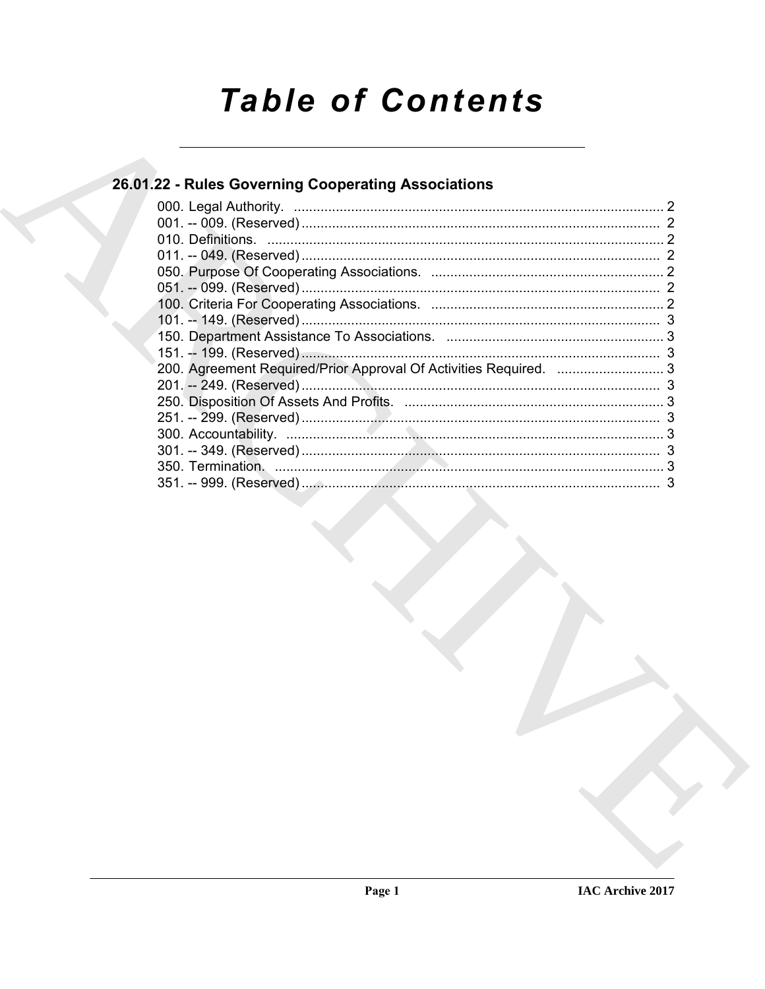# **Table of Contents**

### 26.01.22 - Rules Governing Cooperating Associations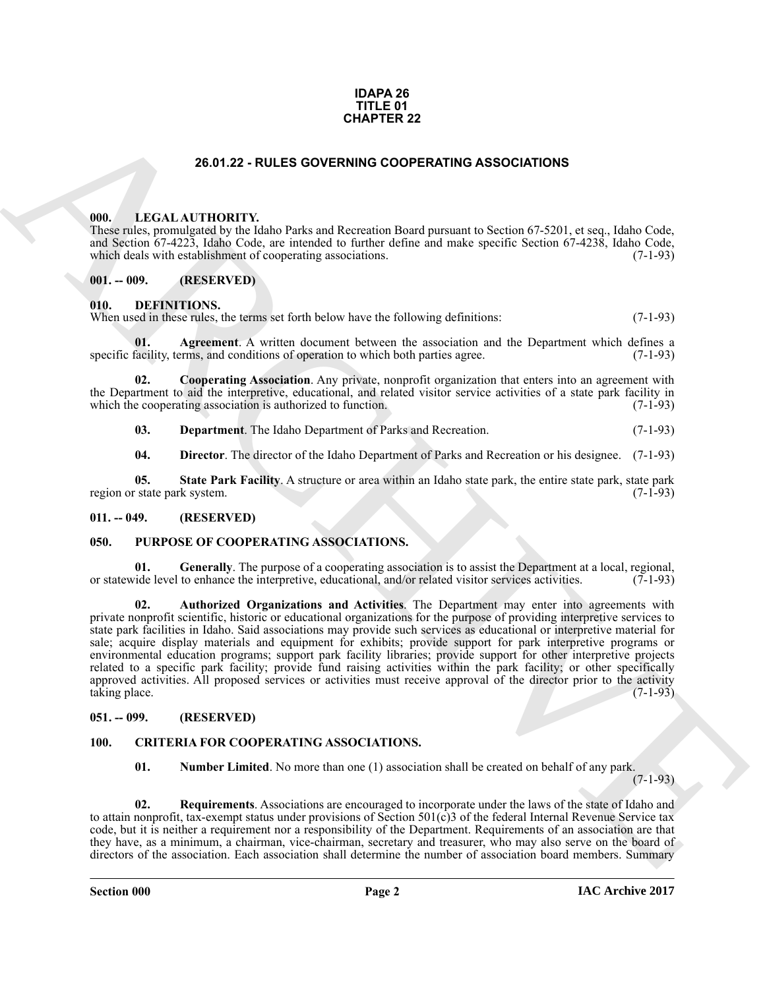#### **IDAPA 26 TITLE 01 CHAPTER 22**

#### **26.01.22 - RULES GOVERNING COOPERATING ASSOCIATIONS**

#### <span id="page-1-1"></span><span id="page-1-0"></span>**000. LEGAL AUTHORITY.**

These rules, promulgated by the Idaho Parks and Recreation Board pursuant to Section 67-5201, et seq., Idaho Code, and Section 67-4223, Idaho Code, are intended to further define and make specific Section 67-4238, Idaho Code, which deals with establishment of cooperating associations. (7-1-93)

#### <span id="page-1-2"></span>**001. -- 009. (RESERVED)**

#### <span id="page-1-11"></span><span id="page-1-3"></span>**010. DEFINITIONS.**

When used in these rules, the terms set forth below have the following definitions: (7-1-93)

<span id="page-1-12"></span>**Agreement**. A written document between the association and the Department which defines a erms, and conditions of operation to which both parties agree. (7-1-93) specific facility, terms, and conditions of operation to which both parties agree.

**02. Cooperating Association**. Any private, nonprofit organization that enters into an agreement with the Department to aid the interpretive, educational, and related visitor service activities of a state park facility in which the cooperating association is authorized to function. (7-1-93) which the cooperating association is authorized to function.

<span id="page-1-14"></span><span id="page-1-13"></span>**03. Department**. The Idaho Department of Parks and Recreation. (7-1-93)

<span id="page-1-16"></span><span id="page-1-15"></span>**04. Director**. The director of the Idaho Department of Parks and Recreation or his designee. (7-1-93)

**05.** State Park Facility. A structure or area within an Idaho state park, the entire state park, state park system. (7-1-93) region or state park system.

#### <span id="page-1-4"></span>**011. -- 049. (RESERVED)**

#### <span id="page-1-17"></span><span id="page-1-5"></span>**050. PURPOSE OF COOPERATING ASSOCIATIONS.**

<span id="page-1-19"></span><span id="page-1-18"></span>**01.** Generally. The purpose of a cooperating association is to assist the Department at a local, regional, vide level to enhance the interpretive, educational, and/or related visitor services activities. (7-1-93) or statewide level to enhance the interpretive, educational, and/or related visitor services activities.

**CHAPTER 22**<br>
28.01.22 - **RULES OOVERNING COOPERATING ASSOCIATIONS**<br>
28.01.22 - **RULES OOVERNING COOPERATING ASSOCIATIONS**<br>
28.01.22 - **EVALUATIONITY (160**, Park of the Data materials for finding the present of the result **02. Authorized Organizations and Activities**. The Department may enter into agreements with private nonprofit scientific, historic or educational organizations for the purpose of providing interpretive services to state park facilities in Idaho. Said associations may provide such services as educational or interpretive material for sale; acquire display materials and equipment for exhibits; provide support for park interpretive programs or environmental education programs; support park facility libraries; provide support for other interpretive projects related to a specific park facility; provide fund raising activities within the park facility; or other specifically approved activities. All proposed services or activities must receive approval of the director prior to the activity taking place.  $(7-1-93)$ taking place.

#### <span id="page-1-6"></span>**051. -- 099. (RESERVED)**

#### <span id="page-1-7"></span>**100. CRITERIA FOR COOPERATING ASSOCIATIONS.**

<span id="page-1-10"></span><span id="page-1-9"></span><span id="page-1-8"></span>**01.** Number Limited. No more than one (1) association shall be created on behalf of any park.

(7-1-93)

**02. Requirements**. Associations are encouraged to incorporate under the laws of the state of Idaho and to attain nonprofit, tax-exempt status under provisions of Section 501(c)3 of the federal Internal Revenue Service tax code, but it is neither a requirement nor a responsibility of the Department. Requirements of an association are that they have, as a minimum, a chairman, vice-chairman, secretary and treasurer, who may also serve on the board of directors of the association. Each association shall determine the number of association board members. Summary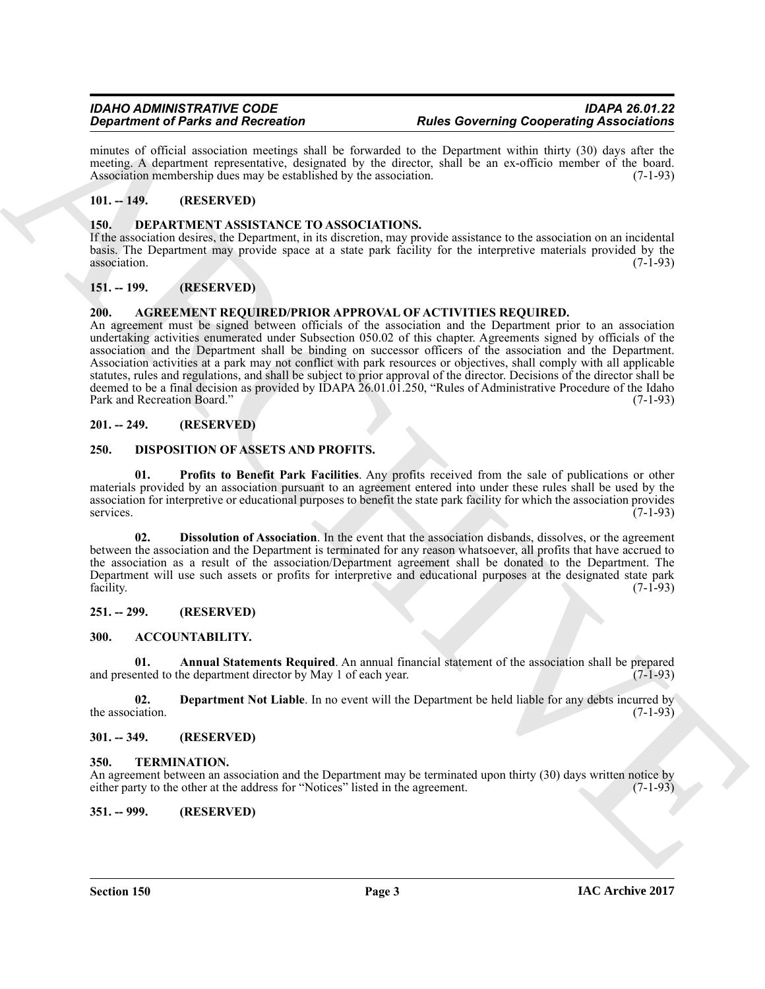minutes of official association meetings shall be forwarded to the Department within thirty (30) days after the meeting. A department representative, designated by the director, shall be an ex-officio member of the board.<br>Association membership dues may be established by the association. (7-1-93) Association membership dues may be established by the association.

#### <span id="page-2-0"></span>**101. -- 149. (RESERVED)**

#### <span id="page-2-15"></span><span id="page-2-1"></span>**150. DEPARTMENT ASSISTANCE TO ASSOCIATIONS.**

If the association desires, the Department, in its discretion, may provide assistance to the association on an incidental basis. The Department may provide space at a state park facility for the interpretive materials provided by the association. (7-1-93)

#### <span id="page-2-2"></span>**151. -- 199. (RESERVED)**

#### <span id="page-2-14"></span><span id="page-2-3"></span>**200. AGREEMENT REQUIRED/PRIOR APPROVAL OF ACTIVITIES REQUIRED.**

**Experiment of Paris and Recorded Internal plane and European in the state of the System and Recorded Samples (Associated Samples and Recorded Samples and Recorded Samples (Associated Samples and Recorded Samples and Reco** An agreement must be signed between officials of the association and the Department prior to an association undertaking activities enumerated under Subsection 050.02 of this chapter. Agreements signed by officials of the association and the Department shall be binding on successor officers of the association and the Department. Association activities at a park may not conflict with park resources or objectives, shall comply with all applicable statutes, rules and regulations, and shall be subject to prior approval of the director. Decisions of the director shall be deemed to be a final decision as provided by IDAPA 26.01.01.250, "Rules of Administrative Procedure of the Idaho Park and Recreation Board." (7-1-93)

#### <span id="page-2-4"></span>**201. -- 249. (RESERVED)**

#### <span id="page-2-16"></span><span id="page-2-5"></span>**250. DISPOSITION OF ASSETS AND PROFITS.**

<span id="page-2-18"></span>**01. Profits to Benefit Park Facilities**. Any profits received from the sale of publications or other materials provided by an association pursuant to an agreement entered into under these rules shall be used by the association for interpretive or educational purposes to benefit the state park facility for which the association provides services. (7-1-93) services. (7-1-93)

<span id="page-2-17"></span>**02. Dissolution of Association**. In the event that the association disbands, dissolves, or the agreement between the association and the Department is terminated for any reason whatsoever, all profits that have accrued to the association as a result of the association/Department agreement shall be donated to the Department. The Department will use such assets or profits for interpretive and educational purposes at the designated state park facility. (7-1-93) facility. (7-1-93)

#### <span id="page-2-6"></span>**251. -- 299. (RESERVED)**

#### <span id="page-2-11"></span><span id="page-2-7"></span>**300. ACCOUNTABILITY.**

<span id="page-2-12"></span>**01. Annual Statements Required**. An annual financial statement of the association shall be prepared and presented to the department director by May 1 of each year. (7-1-93)

<span id="page-2-13"></span>**02. Department Not Liable**. In no event will the Department be held liable for any debts incurred by iation. (7-1-93) the association.

#### <span id="page-2-8"></span>**301. -- 349. (RESERVED)**

#### <span id="page-2-19"></span><span id="page-2-9"></span>**350. TERMINATION.**

An agreement between an association and the Department may be terminated upon thirty (30) days written notice by either party to the other at the address for "Notices" listed in the agreement. (7-1-93)

<span id="page-2-10"></span>**351. -- 999. (RESERVED)**